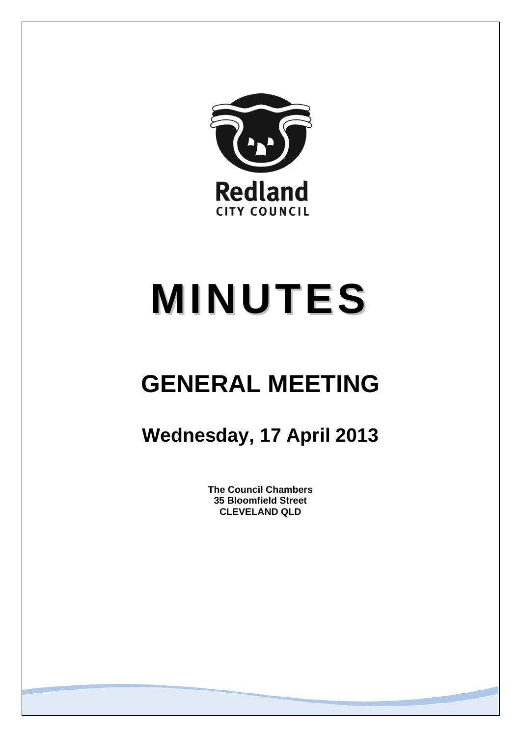

# **MINUTES**

## **GENERAL MEETING**

### **Wednesday, 17 April 2013**

**The Council Chambers 35 Bloomfield Street CLEVELAND QLD**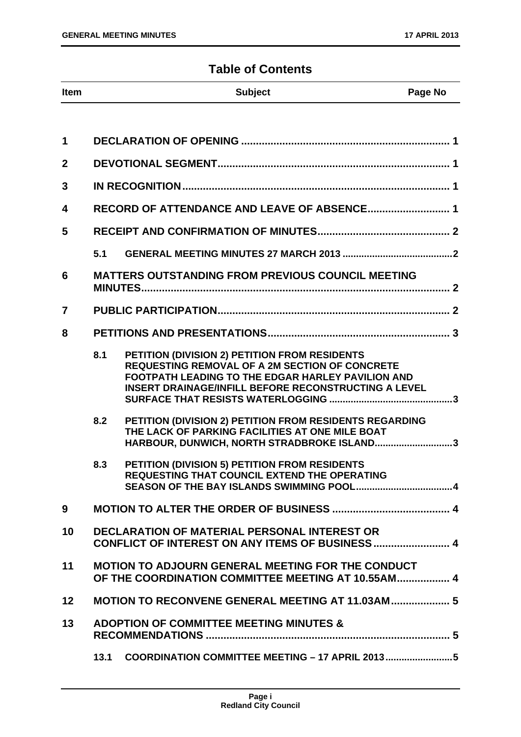#### **Table of Contents**

| <b>Item</b> | <b>Subject</b> | Page No |
|-------------|----------------|---------|

| 1              |      |                                                                                                                                                                                                                                   |
|----------------|------|-----------------------------------------------------------------------------------------------------------------------------------------------------------------------------------------------------------------------------------|
| $\mathbf{2}$   |      |                                                                                                                                                                                                                                   |
| 3              |      |                                                                                                                                                                                                                                   |
| 4              |      | RECORD OF ATTENDANCE AND LEAVE OF ABSENCE 1                                                                                                                                                                                       |
| 5              |      |                                                                                                                                                                                                                                   |
|                | 5.1  |                                                                                                                                                                                                                                   |
| 6              |      | <b>MATTERS OUTSTANDING FROM PREVIOUS COUNCIL MEETING</b>                                                                                                                                                                          |
| $\overline{7}$ |      |                                                                                                                                                                                                                                   |
| 8              |      |                                                                                                                                                                                                                                   |
|                | 8.1  | PETITION (DIVISION 2) PETITION FROM RESIDENTS<br><b>REQUESTING REMOVAL OF A 2M SECTION OF CONCRETE</b><br><b>FOOTPATH LEADING TO THE EDGAR HARLEY PAVILION AND</b><br><b>INSERT DRAINAGE/INFILL BEFORE RECONSTRUCTING A LEVEL</b> |
|                | 8.2  | PETITION (DIVISION 2) PETITION FROM RESIDENTS REGARDING<br>THE LACK OF PARKING FACILITIES AT ONE MILE BOAT<br>HARBOUR, DUNWICH, NORTH STRADBROKE ISLAND3                                                                          |
|                | 8.3  | PETITION (DIVISION 5) PETITION FROM RESIDENTS<br><b>REQUESTING THAT COUNCIL EXTEND THE OPERATING</b>                                                                                                                              |
| 9              |      |                                                                                                                                                                                                                                   |
| 10             |      | <b>DECLARATION OF MATERIAL PERSONAL INTEREST OR</b><br>CONFLICT OF INTEREST ON ANY ITEMS OF BUSINESS  4                                                                                                                           |
| 11             |      | <b>MOTION TO ADJOURN GENERAL MEETING FOR THE CONDUCT</b><br>OF THE COORDINATION COMMITTEE MEETING AT 10.55AM 4                                                                                                                    |
| 12             |      | MOTION TO RECONVENE GENERAL MEETING AT 11.03AM 5                                                                                                                                                                                  |
| 13             |      | <b>ADOPTION OF COMMITTEE MEETING MINUTES &amp;</b>                                                                                                                                                                                |
|                | 13.1 | COORDINATION COMMITTEE MEETING - 17 APRIL 20135                                                                                                                                                                                   |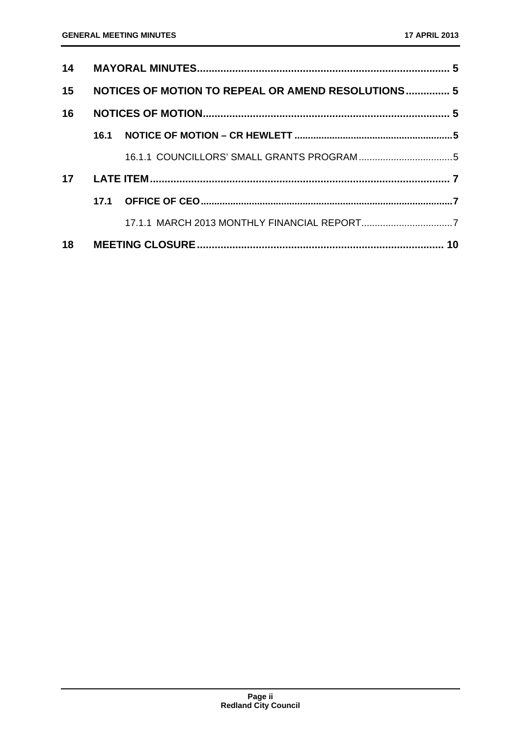| 15 |      | NOTICES OF MOTION TO REPEAL OR AMEND RESOLUTIONS 5 |  |
|----|------|----------------------------------------------------|--|
| 16 |      |                                                    |  |
|    | 16.1 |                                                    |  |
|    |      |                                                    |  |
| 17 |      |                                                    |  |
|    |      |                                                    |  |
|    |      |                                                    |  |
|    |      |                                                    |  |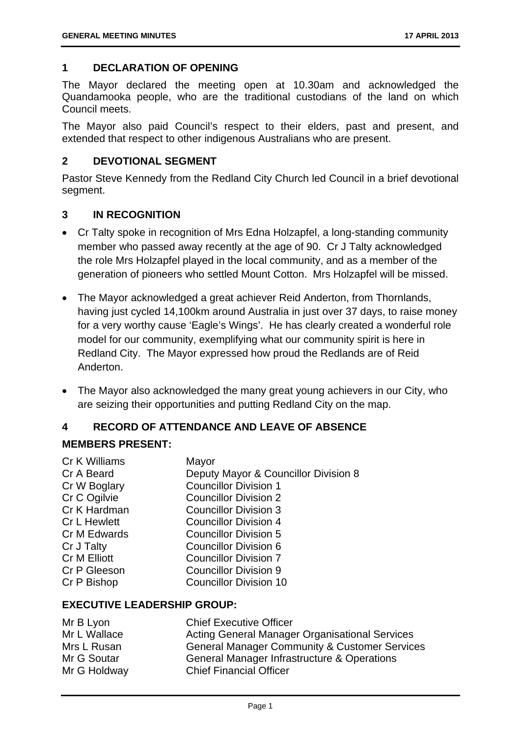#### **1 DECLARATION OF OPENING**

The Mayor declared the meeting open at 10.30am and acknowledged the Quandamooka people, who are the traditional custodians of the land on which Council meets.

The Mayor also paid Council's respect to their elders, past and present, and extended that respect to other indigenous Australians who are present.

#### **2 DEVOTIONAL SEGMENT**

Pastor Steve Kennedy from the Redland City Church led Council in a brief devotional segment.

#### **3 IN RECOGNITION**

- Cr Talty spoke in recognition of Mrs Edna Holzapfel, a long-standing community member who passed away recently at the age of 90. Cr J Talty acknowledged the role Mrs Holzapfel played in the local community, and as a member of the generation of pioneers who settled Mount Cotton. Mrs Holzapfel will be missed.
- The Mayor acknowledged a great achiever Reid Anderton, from Thornlands, having just cycled 14,100km around Australia in just over 37 days, to raise money for a very worthy cause 'Eagle's Wings'. He has clearly created a wonderful role model for our community, exemplifying what our community spirit is here in Redland City. The Mayor expressed how proud the Redlands are of Reid Anderton.
- The Mayor also acknowledged the many great young achievers in our City, who are seizing their opportunities and putting Redland City on the map.

#### **4 RECORD OF ATTENDANCE AND LEAVE OF ABSENCE**

#### **MEMBERS PRESENT:**

| Cr K Williams       | Mayor                                |
|---------------------|--------------------------------------|
| Cr A Beard          | Deputy Mayor & Councillor Division 8 |
| Cr W Boglary        | <b>Councillor Division 1</b>         |
| Cr C Ogilvie        | <b>Councillor Division 2</b>         |
| Cr K Hardman        | <b>Councillor Division 3</b>         |
| <b>Cr L Hewlett</b> | <b>Councillor Division 4</b>         |
| Cr M Edwards        | <b>Councillor Division 5</b>         |
| Cr J Talty          | <b>Councillor Division 6</b>         |
| <b>Cr M Elliott</b> | <b>Councillor Division 7</b>         |
| Cr P Gleeson        | <b>Councillor Division 9</b>         |
| Cr P Bishop         | <b>Councillor Division 10</b>        |
|                     |                                      |

#### **EXECUTIVE LEADERSHIP GROUP:**

| Mr B Lyon    | <b>Chief Executive Officer</b>                           |
|--------------|----------------------------------------------------------|
| Mr L Wallace | Acting General Manager Organisational Services           |
| Mrs L Rusan  | <b>General Manager Community &amp; Customer Services</b> |
| Mr G Soutar  | General Manager Infrastructure & Operations              |
| Mr G Holdway | <b>Chief Financial Officer</b>                           |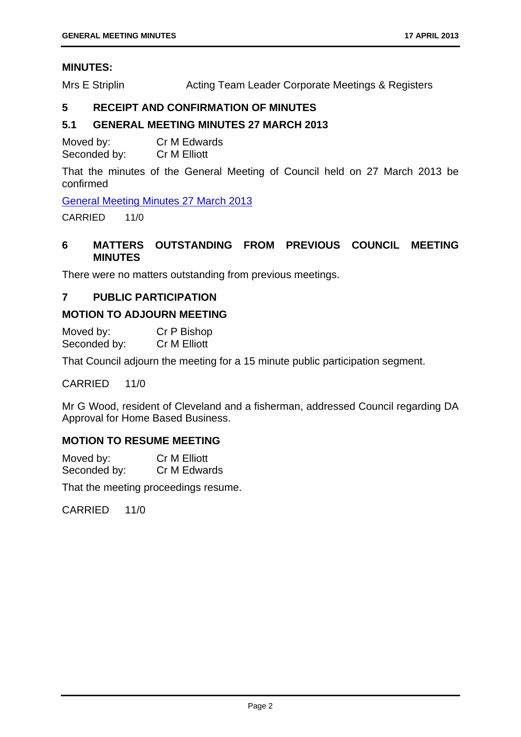#### **MINUTES:**

Mrs E Striplin **Acting Team Leader Corporate Meetings & Registers** 

#### **5 RECEIPT AND CONFIRMATION OF MINUTES**

#### **5.1 GENERAL MEETING MINUTES 27 MARCH 2013**

Moved by: Cr M Edwards Seconded by: Cr M Elliott

That the minutes of the General Meeting of Council held on 27 March 2013 be confirmed

General Meeting Minutes 27 March 2013

CARRIED 11/0

#### **6 MATTERS OUTSTANDING FROM PREVIOUS COUNCIL MEETING MINUTES**

There were no matters outstanding from previous meetings.

#### **7 PUBLIC PARTICIPATION**

#### **MOTION TO ADJOURN MEETING**

| Moved by:    | Cr P Bishop         |
|--------------|---------------------|
| Seconded by: | <b>Cr M Elliott</b> |

That Council adjourn the meeting for a 15 minute public participation segment.

CARRIED 11/0

Mr G Wood, resident of Cleveland and a fisherman, addressed Council regarding DA Approval for Home Based Business.

#### **MOTION TO RESUME MEETING**

Moved by: Cr M Elliott Seconded by: Cr M Edwards

That the meeting proceedings resume.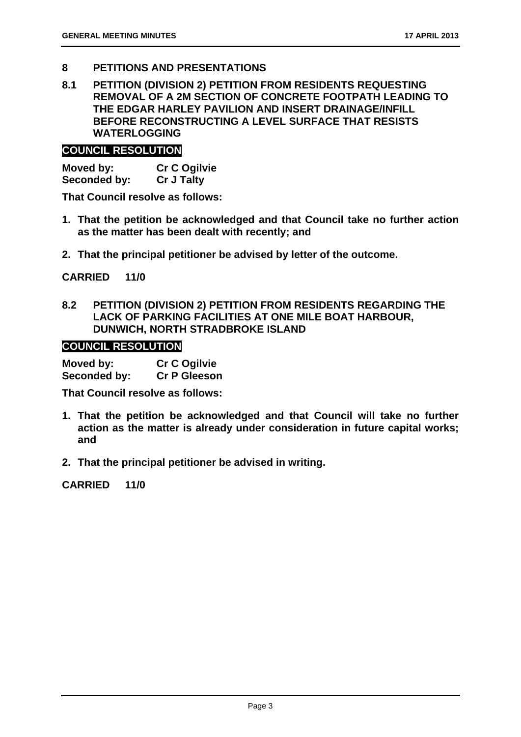- **8 PETITIONS AND PRESENTATIONS**
- **8.1 PETITION (DIVISION 2) PETITION FROM RESIDENTS REQUESTING REMOVAL OF A 2M SECTION OF CONCRETE FOOTPATH LEADING TO THE EDGAR HARLEY PAVILION AND INSERT DRAINAGE/INFILL BEFORE RECONSTRUCTING A LEVEL SURFACE THAT RESISTS WATERLOGGING**

#### **COUNCIL RESOLUTION**

**Moved by: Cr C Ogilvie Seconded by: Cr J Talty** 

**That Council resolve as follows:** 

- **1. That the petition be acknowledged and that Council take no further action as the matter has been dealt with recently; and**
- **2. That the principal petitioner be advised by letter of the outcome.**

**CARRIED 11/0** 

**8.2 PETITION (DIVISION 2) PETITION FROM RESIDENTS REGARDING THE LACK OF PARKING FACILITIES AT ONE MILE BOAT HARBOUR, DUNWICH, NORTH STRADBROKE ISLAND** 

#### **COUNCIL RESOLUTION**

| Moved by:    | <b>Cr C Ogilvie</b> |
|--------------|---------------------|
| Seconded by: | <b>Cr P Gleeson</b> |

**That Council resolve as follows:** 

- **1. That the petition be acknowledged and that Council will take no further action as the matter is already under consideration in future capital works; and**
- **2. That the principal petitioner be advised in writing.**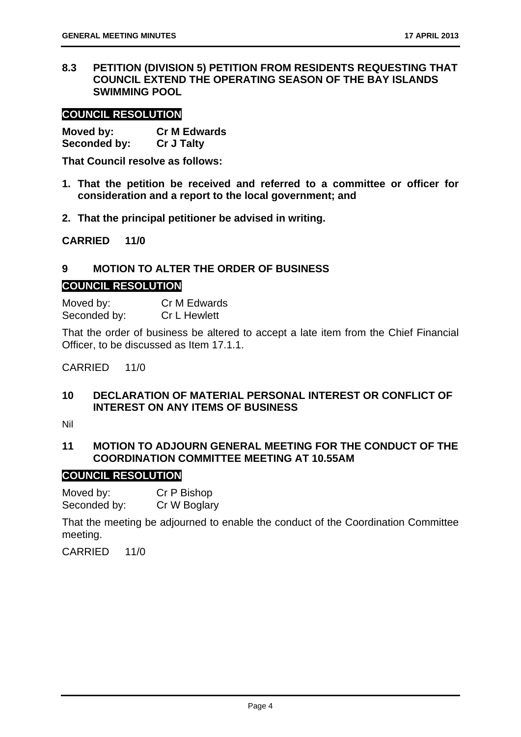**8.3 PETITION (DIVISION 5) PETITION FROM RESIDENTS REQUESTING THAT COUNCIL EXTEND THE OPERATING SEASON OF THE BAY ISLANDS SWIMMING POOL** 

#### **COUNCIL RESOLUTION**

**Moved by: Cr M Edwards Seconded by: Cr J Talty** 

**That Council resolve as follows:** 

- **1. That the petition be received and referred to a committee or officer for consideration and a report to the local government; and**
- **2. That the principal petitioner be advised in writing.**

**CARRIED 11/0** 

#### **9 MOTION TO ALTER THE ORDER OF BUSINESS**

#### **COUNCIL RESOLUTION**

Moved by: Cr M Edwards Seconded by: Cr L Hewlett

That the order of business be altered to accept a late item from the Chief Financial Officer, to be discussed as Item 17.1.1.

CARRIED 11/0

#### **10 DECLARATION OF MATERIAL PERSONAL INTEREST OR CONFLICT OF INTEREST ON ANY ITEMS OF BUSINESS**

Nil

#### **11 MOTION TO ADJOURN GENERAL MEETING FOR THE CONDUCT OF THE COORDINATION COMMITTEE MEETING AT 10.55AM**

#### **COUNCIL RESOLUTION**

Moved by: Cr P Bishop Seconded by: Cr W Boglary

That the meeting be adjourned to enable the conduct of the Coordination Committee meeting.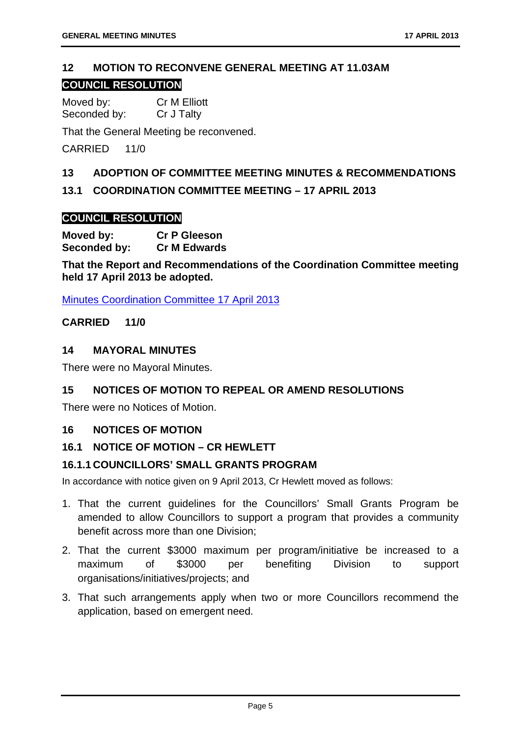#### **12 MOTION TO RECONVENE GENERAL MEETING AT 11.03AM**

#### **COUNCIL RESOLUTION**

Moved by: Cr M Elliott Seconded by: Cr J Talty

That the General Meeting be reconvened.

CARRIED 11/0

#### **13 ADOPTION OF COMMITTEE MEETING MINUTES & RECOMMENDATIONS**

#### **13.1 COORDINATION COMMITTEE MEETING – 17 APRIL 2013**

#### **COUNCIL RESOLUTION**

**Moved by: Cr P Gleeson Seconded by: Cr M Edwards** 

**That the Report and Recommendations of the Coordination Committee meeting held 17 April 2013 be adopted.** 

Minutes Coordination Committee 17 April 2013

#### **CARRIED 11/0**

#### **14 MAYORAL MINUTES**

There were no Mayoral Minutes.

#### **15 NOTICES OF MOTION TO REPEAL OR AMEND RESOLUTIONS**

There were no Notices of Motion.

#### **16 NOTICES OF MOTION**

#### **16.1 NOTICE OF MOTION – CR HEWLETT**

#### **16.1.1 COUNCILLORS' SMALL GRANTS PROGRAM**

In accordance with notice given on 9 April 2013, Cr Hewlett moved as follows:

- 1. That the current guidelines for the Councillors' Small Grants Program be amended to allow Councillors to support a program that provides a community benefit across more than one Division;
- 2. That the current \$3000 maximum per program/initiative be increased to a maximum of \$3000 per benefiting Division to support organisations/initiatives/projects; and
- 3. That such arrangements apply when two or more Councillors recommend the application, based on emergent need.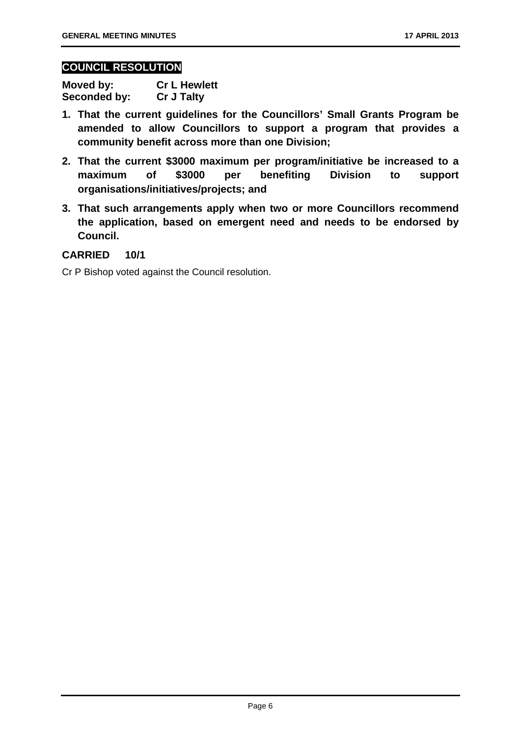#### **COUNCIL RESOLUTION**

| Moved by:    | <b>Cr L Hewlett</b> |
|--------------|---------------------|
| Seconded by: | <b>Cr J Talty</b>   |

- **1. That the current guidelines for the Councillors' Small Grants Program be amended to allow Councillors to support a program that provides a community benefit across more than one Division;**
- **2. That the current \$3000 maximum per program/initiative be increased to a maximum of \$3000 per benefiting Division to support organisations/initiatives/projects; and**
- **3. That such arrangements apply when two or more Councillors recommend the application, based on emergent need and needs to be endorsed by Council.**

#### **CARRIED 10/1**

Cr P Bishop voted against the Council resolution.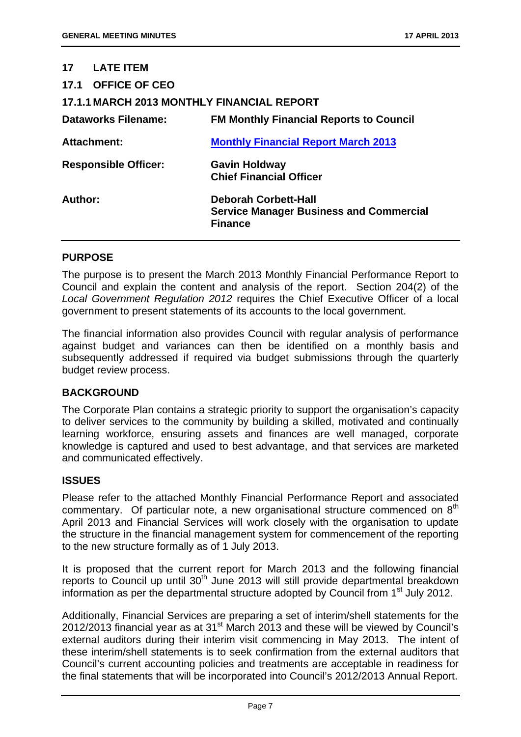#### **17 LATE ITEM**

| 17.1 OFFICE OF CEO                                |                                                                                                 |  |
|---------------------------------------------------|-------------------------------------------------------------------------------------------------|--|
| <b>17.1.1 MARCH 2013 MONTHLY FINANCIAL REPORT</b> |                                                                                                 |  |
| <b>Dataworks Filename:</b>                        | <b>FM Monthly Financial Reports to Council</b>                                                  |  |
| <b>Attachment:</b>                                | <b>Monthly Financial Report March 2013</b>                                                      |  |
| <b>Responsible Officer:</b>                       | <b>Gavin Holdway</b><br><b>Chief Financial Officer</b>                                          |  |
| Author:                                           | <b>Deborah Corbett-Hall</b><br><b>Service Manager Business and Commercial</b><br><b>Finance</b> |  |

#### **PURPOSE**

The purpose is to present the March 2013 Monthly Financial Performance Report to Council and explain the content and analysis of the report. Section 204(2) of the *Local Government Regulation 2012* requires the Chief Executive Officer of a local government to present statements of its accounts to the local government.

The financial information also provides Council with regular analysis of performance against budget and variances can then be identified on a monthly basis and subsequently addressed if required via budget submissions through the quarterly budget review process.

#### **BACKGROUND**

The Corporate Plan contains a strategic priority to support the organisation's capacity to deliver services to the community by building a skilled, motivated and continually learning workforce, ensuring assets and finances are well managed, corporate knowledge is captured and used to best advantage, and that services are marketed and communicated effectively.

#### **ISSUES**

Please refer to the attached Monthly Financial Performance Report and associated commentary. Of particular note, a new organisational structure commenced on  $8<sup>th</sup>$ April 2013 and Financial Services will work closely with the organisation to update the structure in the financial management system for commencement of the reporting to the new structure formally as of 1 July 2013.

It is proposed that the current report for March 2013 and the following financial reports to Council up until 30<sup>th</sup> June 2013 will still provide departmental breakdown information as per the departmental structure adopted by Council from 1<sup>st</sup> July 2012.

Additionally, Financial Services are preparing a set of interim/shell statements for the  $2012/2013$  financial year as at  $31<sup>st</sup>$  March 2013 and these will be viewed by Council's external auditors during their interim visit commencing in May 2013. The intent of these interim/shell statements is to seek confirmation from the external auditors that Council's current accounting policies and treatments are acceptable in readiness for the final statements that will be incorporated into Council's 2012/2013 Annual Report.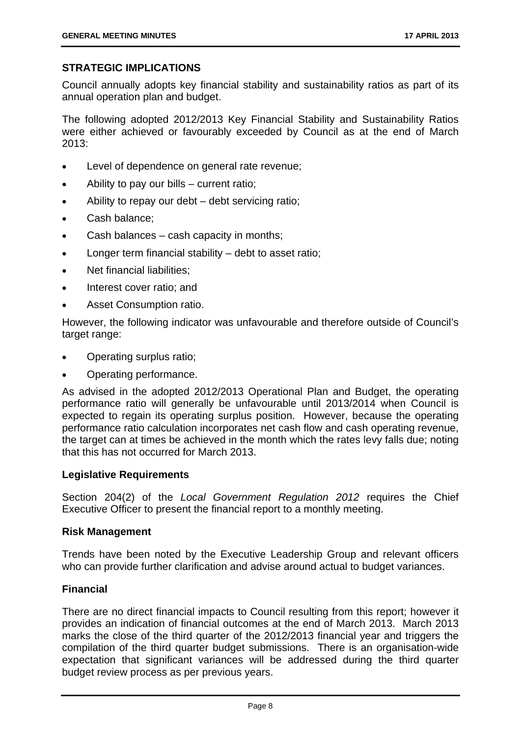#### **STRATEGIC IMPLICATIONS**

Council annually adopts key financial stability and sustainability ratios as part of its annual operation plan and budget.

The following adopted 2012/2013 Key Financial Stability and Sustainability Ratios were either achieved or favourably exceeded by Council as at the end of March  $2013$ 

- Level of dependence on general rate revenue;
- Ability to pay our bills current ratio;
- Ability to repay our debt debt servicing ratio;
- Cash balance:
- Cash balances cash capacity in months;
- Longer term financial stability debt to asset ratio;
- Net financial liabilities:
- Interest cover ratio; and
- Asset Consumption ratio.

However, the following indicator was unfavourable and therefore outside of Council's target range:

- Operating surplus ratio;
- Operating performance.

As advised in the adopted 2012/2013 Operational Plan and Budget, the operating performance ratio will generally be unfavourable until 2013/2014 when Council is expected to regain its operating surplus position. However, because the operating performance ratio calculation incorporates net cash flow and cash operating revenue, the target can at times be achieved in the month which the rates levy falls due; noting that this has not occurred for March 2013.

#### **Legislative Requirements**

Section 204(2) of the *Local Government Regulation 2012* requires the Chief Executive Officer to present the financial report to a monthly meeting.

#### **Risk Management**

Trends have been noted by the Executive Leadership Group and relevant officers who can provide further clarification and advise around actual to budget variances.

#### **Financial**

There are no direct financial impacts to Council resulting from this report; however it provides an indication of financial outcomes at the end of March 2013. March 2013 marks the close of the third quarter of the 2012/2013 financial year and triggers the compilation of the third quarter budget submissions. There is an organisation-wide expectation that significant variances will be addressed during the third quarter budget review process as per previous years.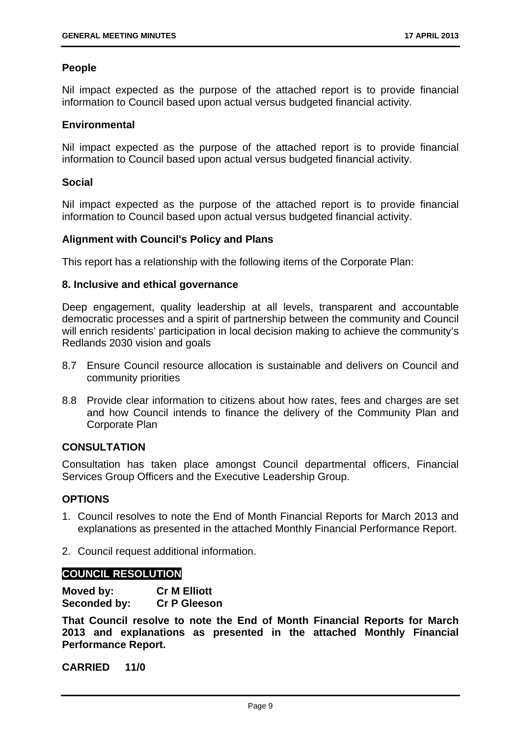#### **People**

Nil impact expected as the purpose of the attached report is to provide financial information to Council based upon actual versus budgeted financial activity.

#### **Environmental**

Nil impact expected as the purpose of the attached report is to provide financial information to Council based upon actual versus budgeted financial activity.

#### **Social**

Nil impact expected as the purpose of the attached report is to provide financial information to Council based upon actual versus budgeted financial activity.

#### **Alignment with Council's Policy and Plans**

This report has a relationship with the following items of the Corporate Plan:

#### **8. Inclusive and ethical governance**

Deep engagement, quality leadership at all levels, transparent and accountable democratic processes and a spirit of partnership between the community and Council will enrich residents' participation in local decision making to achieve the community's Redlands 2030 vision and goals

- 8.7 Ensure Council resource allocation is sustainable and delivers on Council and community priorities
- 8.8 Provide clear information to citizens about how rates, fees and charges are set and how Council intends to finance the delivery of the Community Plan and Corporate Plan

#### **CONSULTATION**

Consultation has taken place amongst Council departmental officers, Financial Services Group Officers and the Executive Leadership Group.

#### **OPTIONS**

- 1. Council resolves to note the End of Month Financial Reports for March 2013 and explanations as presented in the attached Monthly Financial Performance Report.
- 2. Council request additional information.

#### **COUNCIL RESOLUTION**

**Moved by: Cr M Elliott Seconded by: Cr P Gleeson** 

**That Council resolve to note the End of Month Financial Reports for March 2013 and explanations as presented in the attached Monthly Financial Performance Report.**